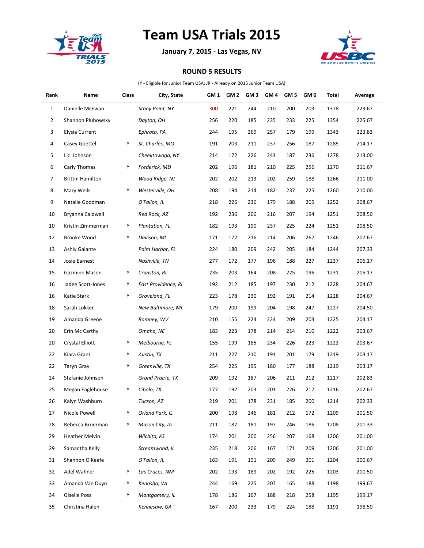

## **Team USA Trials 2015**

**January 7, 2015 - Las Vegas, NV**



## **ROUND 5 RESULTS**

(Y - Eligible for Junior Team USA; JR - Already on 2015 Junior Team USA)

| Rank         | Name                    | Class | City, State            | GM <sub>1</sub> | GM <sub>2</sub> | GM <sub>3</sub> | GM <sub>4</sub> | GM <sub>5</sub> | GM <sub>6</sub> | Total | Average |
|--------------|-------------------------|-------|------------------------|-----------------|-----------------|-----------------|-----------------|-----------------|-----------------|-------|---------|
| $\mathbf{1}$ | Danielle McEwan         |       | <b>Stony Point, NY</b> | 300             | 221             | 244             | 210             | 200             | 203             | 1378  | 229.67  |
| 2            | Shannon Pluhowsky       |       | Dayton, OH             | 256             | 220             | 185             | 235             | 233             | 225             | 1354  | 225.67  |
| 3            | <b>Elysia Current</b>   |       | Ephrata, PA            | 244             | 195             | 269             | 257             | 179             | 199             | 1343  | 223.83  |
| 4            | Casey Goettel           | Υ     | St. Charles, MO        | 191             | 203             | 211             | 237             | 256             | 187             | 1285  | 214.17  |
| 5            | Liz Johnson             |       | Cheektowaga, NY        | 214             | 172             | 226             | 243             | 187             | 236             | 1278  | 213.00  |
| 6            | Carly Thomas            | Υ     | Frederick, MD          | 202             | 196             | 181             | 210             | 225             | 256             | 1270  | 211.67  |
| 7            | <b>Brittni Hamilton</b> |       | Wood Ridge, NJ         | 202             | 202             | 213             | 202             | 259             | 188             | 1266  | 211.00  |
| 8            | Mary Wells              | Υ     | Westerville, OH        | 208             | 194             | 214             | 182             | 237             | 225             | 1260  | 210.00  |
| 9            | Natalie Goodman         |       | O'Fallon, IL           | 218             | 226             | 236             | 179             | 188             | 205             | 1252  | 208.67  |
| 10           | Bryanna Caldwell        |       | Red Rock, AZ           | 192             | 236             | 206             | 216             | 207             | 194             | 1251  | 208.50  |
| 10           | Kristin Zimmerman       | Υ     | Plantation, FL         | 182             | 193             | 190             | 237             | 225             | 224             | 1251  | 208.50  |
| 12           | <b>Brooke Wood</b>      | Υ     | Davison, MI            | 171             | 172             | 216             | 214             | 206             | 267             | 1246  | 207.67  |
| 13           | Ashly Galante           |       | Palm Harbor, FL        | 224             | 180             | 209             | 242             | 205             | 184             | 1244  | 207.33  |
| 14           | Josie Earnest           |       | Nashville, TN          | 277             | 172             | 177             | 196             | 188             | 227             | 1237  | 206.17  |
| 15           | Gazmine Mason           | Υ     | Cranston, RI           | 235             | 203             | 164             | 208             | 225             | 196             | 1231  | 205.17  |
| 16           | Jadee Scott-Jones       | Υ     | East Providence, RI    | 192             | 212             | 185             | 197             | 230             | 212             | 1228  | 204.67  |
| 16           | Katie Stark             | Υ     | Groveland, FL          | 223             | 178             | 230             | 192             | 191             | 214             | 1228  | 204.67  |
| 18           | Sarah Lokker            |       | New Baltimore, MI      | 179             | 200             | 199             | 204             | 198             | 247             | 1227  | 204.50  |
| 19           | Amanda Greene           |       | Romney, WV             | 210             | 155             | 224             | 224             | 209             | 203             | 1225  | 204.17  |
| 20           | Erin Mc Carthy          |       | Omaha, NE              | 183             | 223             | 178             | 214             | 214             | 210             | 1222  | 203.67  |
| 20           | Crystal Elliott         | Υ     | Melbourne, FL          | 155             | 199             | 185             | 234             | 226             | 223             | 1222  | 203.67  |
| 22           | Kiara Grant             | Υ     | Austin, TX             | 211             | 227             | 210             | 191             | 201             | 179             | 1219  | 203.17  |
| 22           | Taryn Gray              | Υ     | Greenville, TX         | 254             | 225             | 195             | 180             | 177             | 188             | 1219  | 203.17  |
| 24           | Stefanie Johnson        |       | Grand Prairie, TX      | 209             | 192             | 187             | 206             | 211             | 212             | 1217  | 202.83  |
| 25           | Megan Eaglehouse        | Υ     | Cibolo, TX             | 177             | 192             | 203             | 201             | 226             | 217             | 1216  | 202.67  |
| 26           | Kalyn Washburn          |       | Tucson, AZ             | 219             | 201             | 178             | 231             | 185             | $200\,$         | 1214  | 202.33  |
| 27           | Nicole Powell           | Υ     | Orland Park, IL        | 200             | 198             | 246             | 181             | 212             | 172             | 1209  | 201.50  |
| 28           | Rebecca Broerman        | Υ     | Mason City, IA         | 211             | 187             | 181             | 197             | 246             | 186             | 1208  | 201.33  |
| 29           | Heather Melvin          |       | Wichita, KS            | 174             | 201             | 200             | 256             | 207             | 168             | 1206  | 201.00  |
| 29           | Samantha Kelly          |       | Streamwood, IL         | 235             | 218             | 206             | 167             | 171             | 209             | 1206  | 201.00  |
| 31           | Shannon O'Keefe         |       | O'Fallon, IL           | 163             | 191             | 191             | 209             | 249             | 201             | 1204  | 200.67  |
| 32           | Adel Wahner             | Υ     | Las Cruces, NM         | 202             | 193             | 189             | 202             | 192             | 225             | 1203  | 200.50  |
| 33           | Amanda Van Duyn         | Υ     | Kenosha, WI            | 244             | 169             | 225             | 207             | 165             | 188             | 1198  | 199.67  |
| 34           | <b>Giselle Poss</b>     | Υ     | Montgomery, IL         | 178             | 186             | 167             | 188             | 218             | 258             | 1195  | 199.17  |
| 35           | Christina Halen         |       | Kennesaw, GA           | 167             | 200             | 233             | 179             | 224             | 188             | 1191  | 198.50  |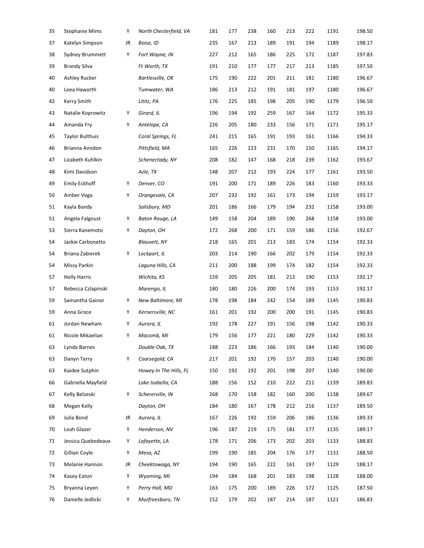| 35 | <b>Stephanie Mims</b>  | Υ  | North Chesterfield, VA | 181 | 177 | 238 | 160 | 213 | 222 | 1191 | 198.50 |
|----|------------------------|----|------------------------|-----|-----|-----|-----|-----|-----|------|--------|
| 37 | Katelyn Simpson        | JR | Boise, ID              | 235 | 167 | 213 | 189 | 191 | 194 | 1189 | 198.17 |
| 38 | Sydney Brummett        | Υ  | Fort Wayne, IN         | 227 | 212 | 165 | 186 | 225 | 172 | 1187 | 197.83 |
| 39 | <b>Brandy Silva</b>    |    | Ft Worth, TX           | 191 | 210 | 177 | 177 | 217 | 213 | 1185 | 197.50 |
| 40 | Ashley Rucker          |    | Bartlesville, OK       | 175 | 190 | 222 | 201 | 211 | 181 | 1180 | 196.67 |
| 40 | Leea Haworth           |    | Tumwater, WA           | 186 | 213 | 212 | 191 | 181 | 197 | 1180 | 196.67 |
| 42 | Kerry Smith            |    | Lititz, PA             | 176 | 225 | 185 | 198 | 205 | 190 | 1179 | 196.50 |
| 43 | Natalie Koprowitz      | Υ  | Girard, IL             | 196 | 194 | 192 | 259 | 167 | 164 | 1172 | 195.33 |
| 44 | Amanda Fry             | Υ  | Antelope, CA           | 226 | 205 | 180 | 233 | 156 | 171 | 1171 | 195.17 |
| 45 | <b>Taylor Bulthuis</b> |    | Coral Springs, FL      | 241 | 215 | 165 | 191 | 193 | 161 | 1166 | 194.33 |
| 46 | Brianna Amidon         |    | Pittsfield, MA         | 165 | 226 | 223 | 231 | 170 | 150 | 1165 | 194.17 |
| 47 | Lizabeth Kuhlkin       |    | Schenectady, NY        | 208 | 182 | 147 | 168 | 218 | 239 | 1162 | 193.67 |
| 48 | Kimi Davidson          |    | Azle, TX               | 148 | 207 | 212 | 193 | 224 | 177 | 1161 | 193.50 |
| 49 | <b>Emily Eckhoff</b>   | Υ  | Denver, CO             | 191 | 200 | 171 | 189 | 226 | 183 | 1160 | 193.33 |
| 50 | Amber Vega             | Υ  | Orangevale, CA         | 207 | 232 | 192 | 161 | 173 | 194 | 1159 | 193.17 |
| 51 | Kayla Bandy            |    | Salisbury, MD          | 201 | 186 | 166 | 179 | 194 | 232 | 1158 | 193.00 |
| 51 | Angela Falgoust        | Υ  | Baton Rouge, LA        | 149 | 158 | 204 | 189 | 190 | 268 | 1158 | 193.00 |
| 53 | Sierra Kanemoto        | Υ  | Dayton, OH             | 172 | 268 | 200 | 171 | 159 | 186 | 1156 | 192.67 |
| 54 | Jackie Carbonetto      |    | <b>Blauvett, NY</b>    | 218 | 165 | 201 | 213 | 183 | 174 | 1154 | 192.33 |
| 54 | Briana Zabierek        | Υ  | Lockport, IL           | 203 | 214 | 190 | 166 | 202 | 179 | 1154 | 192.33 |
| 54 | Missy Parkin           |    | Laguna Hills, CA       | 211 | 200 | 188 | 199 | 174 | 182 | 1154 | 192.33 |
| 57 | <b>Holly Harris</b>    |    | Wichita, KS            | 159 | 205 | 205 | 181 | 213 | 190 | 1153 | 192.17 |
| 57 | Rebecca Czlapinski     |    | Marengo, IL            | 180 | 180 | 226 | 200 | 174 | 193 | 1153 | 192.17 |
| 59 | Samantha Gainor        | Υ  | New Baltimore, MI      | 178 | 198 | 184 | 242 | 154 | 189 | 1145 | 190.83 |
| 59 | Anna Groce             | Υ  | Kernersville, NC       | 161 | 201 | 192 | 200 | 200 | 191 | 1145 | 190.83 |
| 61 | Jordan Newham          | Υ  | Aurora, IL             | 192 | 178 | 227 | 191 | 156 | 198 | 1142 | 190.33 |
| 61 | Nicole Mikaelian       | Υ  | Macomb, MI             | 179 | 156 | 177 | 221 | 180 | 229 | 1142 | 190.33 |
| 63 | Lynda Barnes           |    | Double Oak, TX         | 188 | 223 | 186 | 166 | 193 | 184 | 1140 | 190.00 |
| 63 | Danyn Terry            | Υ  | Coarsegold, CA         | 217 | 201 | 192 | 170 | 157 | 203 | 1140 | 190.00 |
| 63 | Kaidee Sutphin         |    | Howey In The Hills, FL | 150 | 192 | 192 | 201 | 198 | 207 | 1140 | 190.00 |
| 66 | Gabriella Mayfield     |    | Lake Isabella, CA      | 188 | 156 | 152 | 210 | 222 | 211 | 1139 | 189.83 |
| 67 | Kelly Belzeski         | Υ  | Schererville, IN       | 268 | 170 | 158 | 182 | 160 | 200 | 1138 | 189.67 |
| 68 | Megan Kelly            |    | Dayton, OH             | 184 | 180 | 167 | 178 | 212 | 216 | 1137 | 189.50 |
| 69 | Julia Bond             | JR | Aurora, IL             | 167 | 226 | 192 | 159 | 206 | 186 | 1136 | 189.33 |
| 70 | Leah Glazer            | Υ  | Henderson, NV          | 196 | 187 | 219 | 175 | 181 | 177 | 1135 | 189.17 |
| 71 | Jessica Quebedeaux     | Υ  | Lafayette, LA          | 178 | 171 | 206 | 173 | 202 | 203 | 1133 | 188.83 |
| 72 | Gillian Coyle          | Υ  | Mesa, AZ               | 199 | 190 | 185 | 204 | 176 | 177 | 1131 | 188.50 |
| 73 | Melanie Hannon         | JR | Cheektowaga, NY        | 194 | 190 | 165 | 222 | 161 | 197 | 1129 | 188.17 |
| 74 | Kasey Eaton            | Υ  | Wyoming, MI            | 194 | 184 | 168 | 201 | 183 | 198 | 1128 | 188.00 |
| 75 | Bryanna Leyen          | Υ  | Perry Hall, MD         | 163 | 175 | 200 | 189 | 226 | 172 | 1125 | 187.50 |
| 76 | Danielle Jedlicki      | Υ  | Murfreesboro, TN       | 152 | 179 | 202 | 187 | 214 | 187 | 1121 | 186.83 |